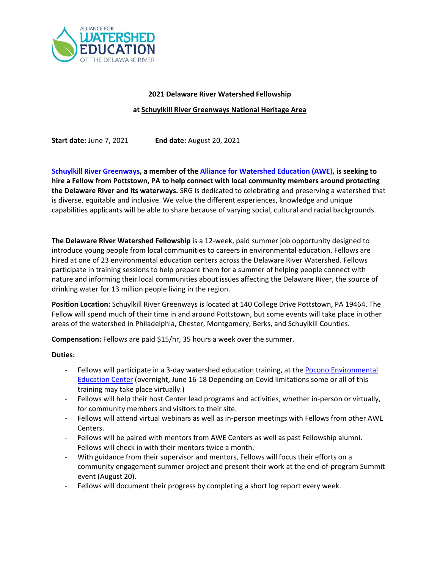

# **2021 Delaware River Watershed Fellowship**

### **at Schuylkill River Greenways National Heritage Area**

**Start date:** June 7, 2021 **End date:** August 20, 2021

**[Schuylkill River Greenways,](http://www.schuylkillriver.org/) a member of th[e Alliance for Watershed Education \(AWE\)](https://www.watershedalliance.org/), is seeking to hire a Fellow from Pottstown, PA to help connect with local community members around protecting the Delaware River and its waterways.** SRG is dedicated to celebrating and preserving a watershed that is diverse, equitable and inclusive. We value the different experiences, knowledge and unique capabilities applicants will be able to share because of varying social, cultural and racial backgrounds.

**The Delaware River Watershed Fellowship** is a 12-week, paid summer job opportunity designed to introduce young people from local communities to careers in environmental education. Fellows are hired at one of 23 environmental education centers across the Delaware River Watershed. Fellows participate in training sessions to help prepare them for a summer of helping people connect with nature and informing their local communities about issues affecting the Delaware River, the source of drinking water for 13 million people living in the region.

**Position Location:** Schuylkill River Greenways is located at 140 College Drive Pottstown, PA 19464. The Fellow will spend much of their time in and around Pottstown, but some events will take place in other areas of the watershed in Philadelphia, Chester, Montgomery, Berks, and Schuylkill Counties.

**Compensation:** Fellows are paid \$15/hr, 35 hours a week over the summer.

# **Duties:**

- Fellows will participate in a 3-day watershed education training, at the Pocono Environmental [Education Center](https://www.peec.org/) (overnight, June 16-18 Depending on Covid limitations some or all of this training may take place virtually.)
- Fellows will help their host Center lead programs and activities, whether in-person or virtually, for community members and visitors to their site.
- Fellows will attend virtual webinars as well as in-person meetings with Fellows from other AWE Centers.
- Fellows will be paired with mentors from AWE Centers as well as past Fellowship alumni. Fellows will check in with their mentors twice a month.
- With guidance from their supervisor and mentors, Fellows will focus their efforts on a community engagement summer project and present their work at the end-of-program Summit event (August 20).
- Fellows will document their progress by completing a short log report every week.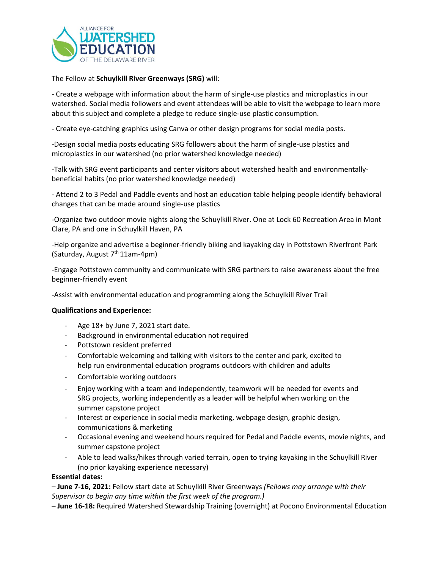

The Fellow at **Schuylkill River Greenways (SRG)** will:

- Create a webpage with information about the harm of single-use plastics and microplastics in our watershed. Social media followers and event attendees will be able to visit the webpage to learn more about this subject and complete a pledge to reduce single-use plastic consumption.

- Create eye-catching graphics using Canva or other design programs for social media posts.

-Design social media posts educating SRG followers about the harm of single-use plastics and microplastics in our watershed (no prior watershed knowledge needed)

-Talk with SRG event participants and center visitors about watershed health and environmentallybeneficial habits (no prior watershed knowledge needed)

- Attend 2 to 3 Pedal and Paddle events and host an education table helping people identify behavioral changes that can be made around single-use plastics

-Organize two outdoor movie nights along the Schuylkill River. One at Lock 60 Recreation Area in Mont Clare, PA and one in Schuylkill Haven, PA

-Help organize and advertise a beginner-friendly biking and kayaking day in Pottstown Riverfront Park (Saturday, August  $7<sup>th</sup> 11$ am-4pm)

-Engage Pottstown community and communicate with SRG partners to raise awareness about the free beginner-friendly event

-Assist with environmental education and programming along the Schuylkill River Trail

# **Qualifications and Experience:**

- Age 18+ by June 7, 2021 start date.
- Background in environmental education not required
- Pottstown resident preferred
- Comfortable welcoming and talking with visitors to the center and park, excited to help run environmental education programs outdoors with children and adults
- Comfortable working outdoors
- Enjoy working with a team and independently, teamwork will be needed for events and SRG projects, working independently as a leader will be helpful when working on the summer capstone project
- Interest or experience in social media marketing, webpage design, graphic design, communications & marketing
- Occasional evening and weekend hours required for Pedal and Paddle events, movie nights, and summer capstone project
- Able to lead walks/hikes through varied terrain, open to trying kayaking in the Schuylkill River (no prior kayaking experience necessary)

# **Essential dates:**

– **June 7-16, 2021:** Fellow start date at Schuylkill River Greenways *(Fellows may arrange with their Supervisor to begin any time within the first week of the program.)*

– **June 16-18:** Required Watershed Stewardship Training (overnight) at Pocono Environmental Education